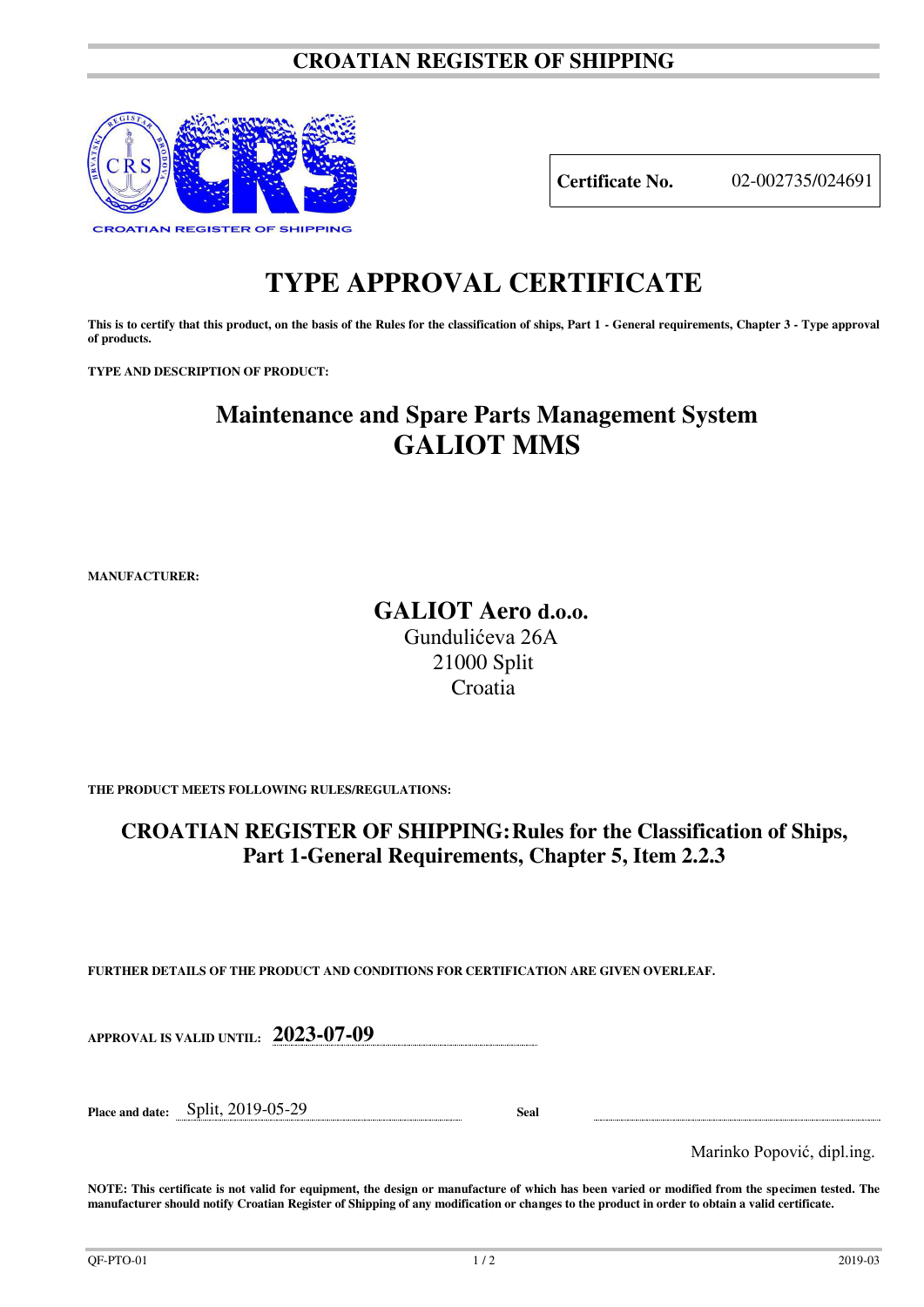# **CROATIAN REGISTER OF SHIPPING**



**Certificate No.** 02-002735/024691

# **TYPE APPROVAL CERTIFICATE**

This is to certify that this product, on the basis of the Rules for the classification of ships, Part 1 - General requirements, Chapter 3 - Type approval **of products.** 

**TYPE AND DESCRIPTION OF PRODUCT:** 

# **Maintenance and Spare Parts Management System GALIOT MMS**

**MANUFACTURER:**

# **GALIOT Aero d.o.o.** Gundulićeva 26A 21000 Split Croatia

**THE PRODUCT MEETS FOLLOWING RULES/REGULATIONS:**

# **CROATIAN REGISTER OF SHIPPING: Rules for the Classification of Ships, Part 1-General Requirements, Chapter 5, Item 2.2.3**

**FURTHER DETAILS OF THE PRODUCT AND CONDITIONS FOR CERTIFICATION ARE GIVEN OVERLEAF.**

**APPROVAL IS VALID UNTIL: 2023-07-09**

**Place and date:** Split, 2019-05-29 **Seal** 

Marinko Popović, dipl.ing.

**NOTE: This certificate is not valid for equipment, the design or manufacture of which has been varied or modified from the specimen tested. The manufacturer should notify Croatian Register of Shipping of any modification or changes to the product in order to obtain a valid certificate.**